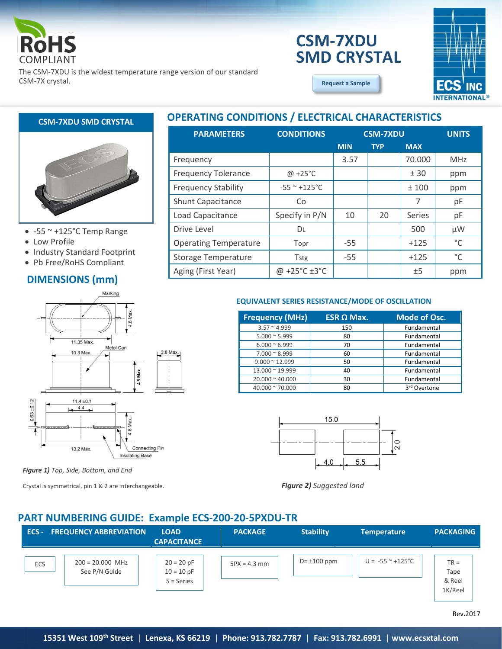

# **CSM-7XDU SMD CRYSTAL**

**[Request a Sample](http://ecsxtalportal.com/samplepilot/samplerequest.php)**



The CSM-7XDU is the widest temperature range version of our standard CSM-7X crystal.



- $\bullet$  -55  $\sim$  +125°C Temp Range
- Low Profile
- Industry Standard Footprint
- Pb Free/RoHS Compliant

## **DIMENSIONS (mm)**



*Figure 1) Top, Side, Bottom, and End*

Crystal is symmetrical, pin 1 & 2 are interchangeable.

## **OPERATING CONDITIONS / ELECTRICAL CHARACTERISTICS CSM-7XDU SMD CRYSTAL**

| <b>PARAMETERS</b>            | <b>CONDITIONS</b>                  |            | <b>CSM-7XDU</b> |            | <b>UNITS</b> |
|------------------------------|------------------------------------|------------|-----------------|------------|--------------|
|                              |                                    | <b>MIN</b> | <b>TYP</b>      | <b>MAX</b> |              |
| Frequency                    |                                    | 3.57       |                 | 70.000     | <b>MHz</b>   |
| <b>Frequency Tolerance</b>   | $\omega$ +25°C                     |            |                 | ± 30       | ppm          |
| <b>Frequency Stability</b>   | $-55$ ~ $+125$ °C                  |            |                 | ±100       | ppm          |
| Shunt Capacitance            | Co                                 |            |                 | 7          | рF           |
| Load Capacitance             | Specify in P/N                     | 10         | 20              | Series     | рF           |
| Drive Level                  | DL                                 |            |                 | 500        | $\mu$ W      |
| <b>Operating Temperature</b> | Topr                               | $-55$      |                 | $+125$     | °C           |
| <b>Storage Temperature</b>   | Tstg                               | $-55$      |                 | $+125$     | $^{\circ}$ C |
| Aging (First Year)           | @ +25 $^{\circ}$ C ±3 $^{\circ}$ C |            |                 | ±5         | ppm          |

#### **EQUIVALENT SERIES RESISTANCE/MODE OF OSCILLATION**

| <b>Frequency (MHz)</b>  | $ESR \Omega$ Max. | <b>Mode of Osc.</b>      |
|-------------------------|-------------------|--------------------------|
| $3.57 \approx 4.999$    | 150               | Fundamental              |
| $5.000 \approx 5.999$   | 80                | Fundamental              |
| $6.000 \approx 6.999$   | 70                | Fundamental              |
| $7.000 \approx 8.999$   | 60                | Fundamental              |
| $9.000 \approx 12.999$  | 50                | Fundamental              |
| 13.000 ~ 19.999         | 40                | Fundamental              |
| $20.000 \approx 40.000$ | 30                | Fundamental              |
| $40.000 \approx 70.000$ | 80                | 3 <sup>rd</sup> Overtone |



*Figure 2) Suggested land*

### **PART NUMBERING GUIDE: Example ECS-200-20-5PXDU-TR**

| $ECS -$    | <b>FREQUENCY ABBREVIATION</b>       | <b>LOAD</b><br><b>CAPACITANCE</b>            | <b>PACKAGE</b> | <b>Stability</b>  | <b>Temperature</b>                     | <b>PACKAGING</b>                    |
|------------|-------------------------------------|----------------------------------------------|----------------|-------------------|----------------------------------------|-------------------------------------|
| <b>ECS</b> | $200 = 20.000$ MHz<br>See P/N Guide | $20 = 20 pF$<br>$10 = 10 pF$<br>$S = Series$ | $5PX = 4.3$ mm | $D = \pm 100$ ppm | $U = -55$ $^{\circ}$ +125 $^{\circ}$ C | $TR =$<br>Tape<br>& Reel<br>1K/Reel |

Rev.2017